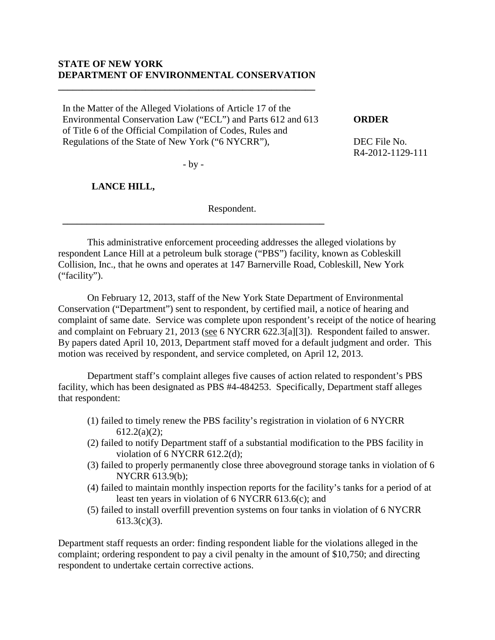## **STATE OF NEW YORK DEPARTMENT OF ENVIRONMENTAL CONSERVATION**

**\_\_\_\_\_\_\_\_\_\_\_\_\_\_\_\_\_\_\_\_\_\_\_\_\_\_\_\_\_\_\_\_\_\_\_\_\_\_\_\_\_\_\_\_\_\_\_\_\_\_\_\_\_**

In the Matter of the Alleged Violations of Article 17 of the Environmental Conservation Law ("ECL") and Parts 612 and 613 of Title 6 of the Official Compilation of Codes, Rules and Regulations of the State of New York ("6 NYCRR"),

## **ORDER**

DEC File No. R4-2012-1129-111

- by -

**\_\_\_\_\_\_\_\_\_\_\_\_\_\_\_\_\_\_\_\_\_\_\_\_\_\_\_\_\_\_\_\_\_\_\_\_\_\_\_\_\_\_\_\_\_\_\_\_\_\_\_\_\_\_**

**LANCE HILL,**

Respondent.

This administrative enforcement proceeding addresses the alleged violations by respondent Lance Hill at a petroleum bulk storage ("PBS") facility, known as Cobleskill Collision, Inc., that he owns and operates at 147 Barnerville Road, Cobleskill, New York ("facility").

On February 12, 2013, staff of the New York State Department of Environmental Conservation ("Department") sent to respondent, by certified mail, a notice of hearing and complaint of same date. Service was complete upon respondent's receipt of the notice of hearing and complaint on February 21, 2013 (see 6 NYCRR 622.3[a][3]). Respondent failed to answer. By papers dated April 10, 2013, Department staff moved for a default judgment and order. This motion was received by respondent, and service completed, on April 12, 2013.

Department staff's complaint alleges five causes of action related to respondent's PBS facility, which has been designated as PBS #4-484253. Specifically, Department staff alleges that respondent:

- (1) failed to timely renew the PBS facility's registration in violation of 6 NYCRR  $612.2(a)(2)$ ;
- (2) failed to notify Department staff of a substantial modification to the PBS facility in violation of 6 NYCRR 612.2(d);
- (3) failed to properly permanently close three aboveground storage tanks in violation of 6 NYCRR 613.9(b);
- (4) failed to maintain monthly inspection reports for the facility's tanks for a period of at least ten years in violation of 6 NYCRR 613.6(c); and
- (5) failed to install overfill prevention systems on four tanks in violation of 6 NYCRR 613.3(c)(3).

Department staff requests an order: finding respondent liable for the violations alleged in the complaint; ordering respondent to pay a civil penalty in the amount of \$10,750; and directing respondent to undertake certain corrective actions.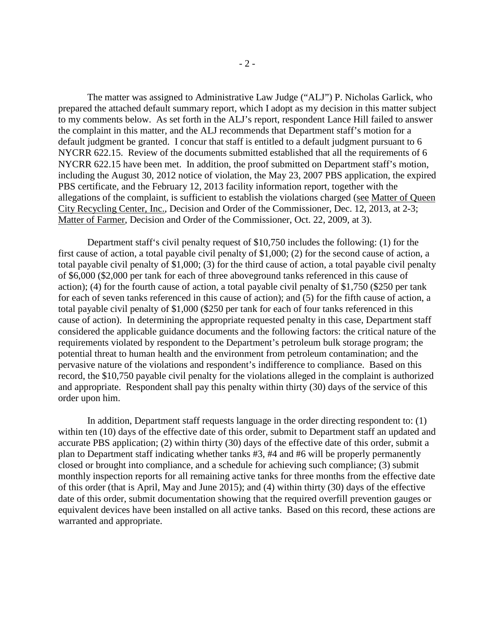The matter was assigned to Administrative Law Judge ("ALJ") P. Nicholas Garlick, who prepared the attached default summary report, which I adopt as my decision in this matter subject to my comments below. As set forth in the ALJ's report, respondent Lance Hill failed to answer the complaint in this matter, and the ALJ recommends that Department staff's motion for a default judgment be granted. I concur that staff is entitled to a default judgment pursuant to 6 NYCRR 622.15. Review of the documents submitted established that all the requirements of 6 NYCRR 622.15 have been met. In addition, the proof submitted on Department staff's motion, including the August 30, 2012 notice of violation, the May 23, 2007 PBS application, the expired PBS certificate, and the February 12, 2013 facility information report, together with the allegations of the complaint, is sufficient to establish the violations charged (see Matter of Queen City Recycling Center, Inc., Decision and Order of the Commissioner, Dec. 12, 2013, at 2-3; Matter of Farmer, Decision and Order of the Commissioner, Oct. 22, 2009, at 3).

Department staff's civil penalty request of \$10,750 includes the following: (1) for the first cause of action, a total payable civil penalty of \$1,000; (2) for the second cause of action, a total payable civil penalty of \$1,000; (3) for the third cause of action, a total payable civil penalty of \$6,000 (\$2,000 per tank for each of three aboveground tanks referenced in this cause of action); (4) for the fourth cause of action, a total payable civil penalty of \$1,750 (\$250 per tank for each of seven tanks referenced in this cause of action); and (5) for the fifth cause of action, a total payable civil penalty of \$1,000 (\$250 per tank for each of four tanks referenced in this cause of action). In determining the appropriate requested penalty in this case, Department staff considered the applicable guidance documents and the following factors: the critical nature of the requirements violated by respondent to the Department's petroleum bulk storage program; the potential threat to human health and the environment from petroleum contamination; and the pervasive nature of the violations and respondent's indifference to compliance. Based on this record, the \$10,750 payable civil penalty for the violations alleged in the complaint is authorized and appropriate. Respondent shall pay this penalty within thirty (30) days of the service of this order upon him.

In addition, Department staff requests language in the order directing respondent to: (1) within ten (10) days of the effective date of this order, submit to Department staff an updated and accurate PBS application; (2) within thirty (30) days of the effective date of this order, submit a plan to Department staff indicating whether tanks #3, #4 and #6 will be properly permanently closed or brought into compliance, and a schedule for achieving such compliance; (3) submit monthly inspection reports for all remaining active tanks for three months from the effective date of this order (that is April, May and June 2015); and (4) within thirty (30) days of the effective date of this order, submit documentation showing that the required overfill prevention gauges or equivalent devices have been installed on all active tanks. Based on this record, these actions are warranted and appropriate.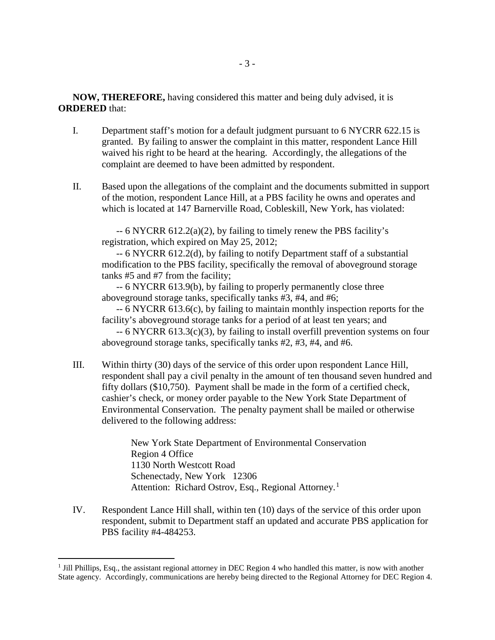# **NOW, THEREFORE,** having considered this matter and being duly advised, it is **ORDERED** that:

- I. Department staff's motion for a default judgment pursuant to 6 NYCRR 622.15 is granted. By failing to answer the complaint in this matter, respondent Lance Hill waived his right to be heard at the hearing. Accordingly, the allegations of the complaint are deemed to have been admitted by respondent.
- II. Based upon the allegations of the complaint and the documents submitted in support of the motion, respondent Lance Hill, at a PBS facility he owns and operates and which is located at 147 Barnerville Road, Cobleskill, New York, has violated:

-- 6 NYCRR 612.2(a)(2), by failing to timely renew the PBS facility's registration, which expired on May 25, 2012;

-- 6 NYCRR 612.2(d), by failing to notify Department staff of a substantial modification to the PBS facility, specifically the removal of aboveground storage tanks #5 and #7 from the facility;

-- 6 NYCRR 613.9(b), by failing to properly permanently close three aboveground storage tanks, specifically tanks #3, #4, and #6;

-- 6 NYCRR 613.6(c), by failing to maintain monthly inspection reports for the facility's aboveground storage tanks for a period of at least ten years; and -- 6 NYCRR 613.3(c)(3), by failing to install overfill prevention systems on four aboveground storage tanks, specifically tanks #2, #3, #4, and #6.

III. Within thirty (30) days of the service of this order upon respondent Lance Hill, respondent shall pay a civil penalty in the amount of ten thousand seven hundred and fifty dollars (\$10,750). Payment shall be made in the form of a certified check, cashier's check, or money order payable to the New York State Department of Environmental Conservation. The penalty payment shall be mailed or otherwise delivered to the following address:

> New York State Department of Environmental Conservation Region 4 Office 1130 North Westcott Road Schenectady, New York 12306 Attention: Richard Ostrov, Esq., Regional Attorney.<sup>[1](#page-2-0)</sup>

IV. Respondent Lance Hill shall, within ten (10) days of the service of this order upon respondent, submit to Department staff an updated and accurate PBS application for PBS facility #4-484253.

 $\overline{a}$ 

<span id="page-2-0"></span> $1$  Jill Phillips, Esq., the assistant regional attorney in DEC Region 4 who handled this matter, is now with another State agency. Accordingly, communications are hereby being directed to the Regional Attorney for DEC Region 4.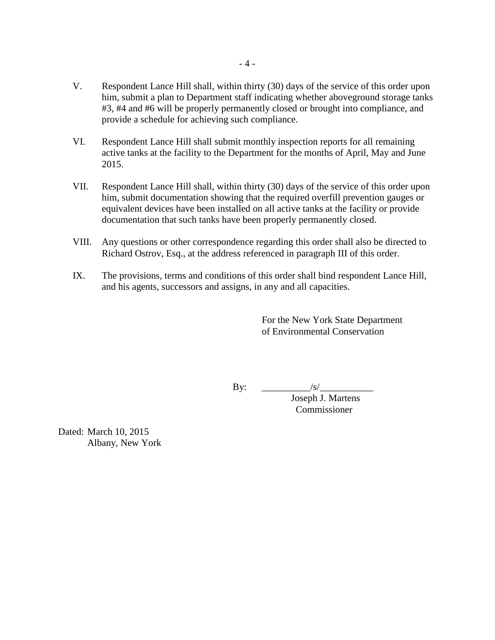- V. Respondent Lance Hill shall, within thirty (30) days of the service of this order upon him, submit a plan to Department staff indicating whether aboveground storage tanks #3, #4 and #6 will be properly permanently closed or brought into compliance, and provide a schedule for achieving such compliance.
- VI. Respondent Lance Hill shall submit monthly inspection reports for all remaining active tanks at the facility to the Department for the months of April, May and June 2015.
- VII. Respondent Lance Hill shall, within thirty (30) days of the service of this order upon him, submit documentation showing that the required overfill prevention gauges or equivalent devices have been installed on all active tanks at the facility or provide documentation that such tanks have been properly permanently closed.
- VIII. Any questions or other correspondence regarding this order shall also be directed to Richard Ostrov, Esq., at the address referenced in paragraph III of this order.
- IX. The provisions, terms and conditions of this order shall bind respondent Lance Hill, and his agents, successors and assigns, in any and all capacities.

For the New York State Department of Environmental Conservation

By: \_\_\_\_\_\_\_\_\_\_/s/\_\_\_\_\_\_\_\_\_\_\_

Joseph J. Martens Commissioner

Dated: March 10, 2015 Albany, New York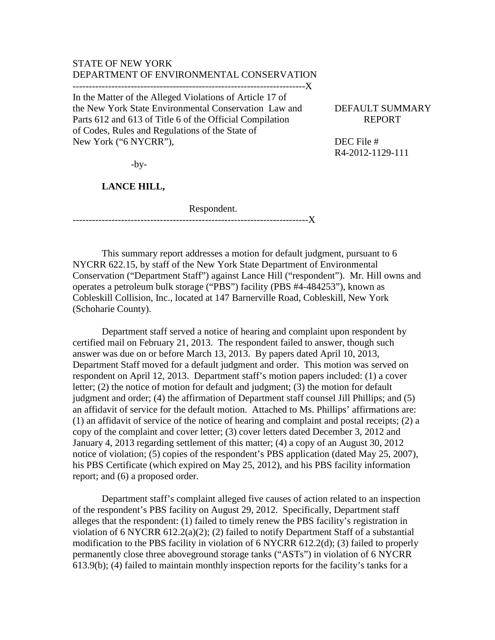# STATE OF NEW YORK DEPARTMENT OF ENVIRONMENTAL CONSERVATION

------------------------------------------------------------------------X

In the Matter of the Alleged Violations of Article 17 of the New York State Environmental Conservation Law and DEFAULT SUMMARY Parts 612 and 613 of Title 6 of the Official Compilation REPORT of Codes, Rules and Regulations of the State of New York ("6 NYCRR"), DEC File #

R4-2012-1129-111

-by-

## **LANCE HILL,**

Respondent.

-------------------------------------------------------------------------X

This summary report addresses a motion for default judgment, pursuant to 6 NYCRR 622.15, by staff of the New York State Department of Environmental Conservation ("Department Staff") against Lance Hill ("respondent"). Mr. Hill owns and operates a petroleum bulk storage ("PBS") facility (PBS #4-484253"), known as Cobleskill Collision, Inc., located at 147 Barnerville Road, Cobleskill, New York (Schoharie County).

Department staff served a notice of hearing and complaint upon respondent by certified mail on February 21, 2013. The respondent failed to answer, though such answer was due on or before March 13, 2013. By papers dated April 10, 2013, Department Staff moved for a default judgment and order. This motion was served on respondent on April 12, 2013. Department staff's motion papers included: (1) a cover letter; (2) the notice of motion for default and judgment; (3) the motion for default judgment and order; (4) the affirmation of Department staff counsel Jill Phillips; and (5) an affidavit of service for the default motion. Attached to Ms. Phillips' affirmations are: (1) an affidavit of service of the notice of hearing and complaint and postal receipts; (2) a copy of the complaint and cover letter; (3) cover letters dated December 3, 2012 and January 4, 2013 regarding settlement of this matter; (4) a copy of an August 30, 2012 notice of violation; (5) copies of the respondent's PBS application (dated May 25, 2007), his PBS Certificate (which expired on May 25, 2012), and his PBS facility information report; and (6) a proposed order.

Department staff's complaint alleged five causes of action related to an inspection of the respondent's PBS facility on August 29, 2012. Specifically, Department staff alleges that the respondent: (1) failed to timely renew the PBS facility's registration in violation of 6 NYCRR 612.2(a)(2); (2) failed to notify Department Staff of a substantial modification to the PBS facility in violation of 6 NYCRR 612.2(d); (3) failed to properly permanently close three aboveground storage tanks ("ASTs") in violation of 6 NYCRR 613.9(b); (4) failed to maintain monthly inspection reports for the facility's tanks for a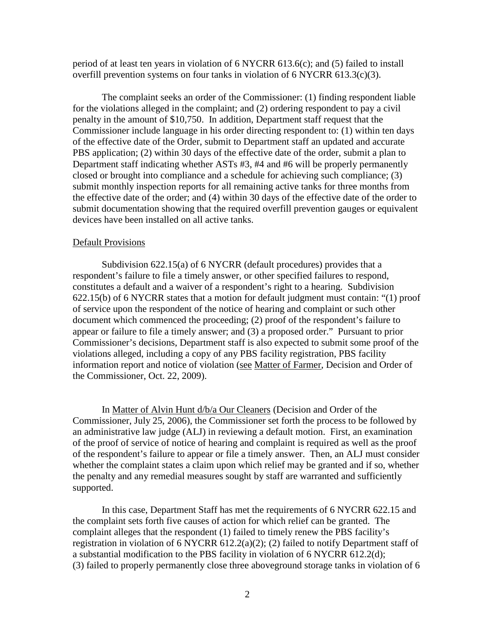period of at least ten years in violation of 6 NYCRR 613.6(c); and (5) failed to install overfill prevention systems on four tanks in violation of 6 NYCRR 613.3(c)(3).

The complaint seeks an order of the Commissioner: (1) finding respondent liable for the violations alleged in the complaint; and (2) ordering respondent to pay a civil penalty in the amount of \$10,750. In addition, Department staff request that the Commissioner include language in his order directing respondent to: (1) within ten days of the effective date of the Order, submit to Department staff an updated and accurate PBS application; (2) within 30 days of the effective date of the order, submit a plan to Department staff indicating whether ASTs #3, #4 and #6 will be properly permanently closed or brought into compliance and a schedule for achieving such compliance; (3) submit monthly inspection reports for all remaining active tanks for three months from the effective date of the order; and (4) within 30 days of the effective date of the order to submit documentation showing that the required overfill prevention gauges or equivalent devices have been installed on all active tanks.

#### Default Provisions

Subdivision 622.15(a) of 6 NYCRR (default procedures) provides that a respondent's failure to file a timely answer, or other specified failures to respond, constitutes a default and a waiver of a respondent's right to a hearing. Subdivision 622.15(b) of 6 NYCRR states that a motion for default judgment must contain: "(1) proof of service upon the respondent of the notice of hearing and complaint or such other document which commenced the proceeding; (2) proof of the respondent's failure to appear or failure to file a timely answer; and (3) a proposed order." Pursuant to prior Commissioner's decisions, Department staff is also expected to submit some proof of the violations alleged, including a copy of any PBS facility registration, PBS facility information report and notice of violation (see Matter of Farmer, Decision and Order of the Commissioner, Oct. 22, 2009).

In Matter of Alvin Hunt d/b/a Our Cleaners (Decision and Order of the Commissioner, July 25, 2006), the Commissioner set forth the process to be followed by an administrative law judge (ALJ) in reviewing a default motion. First, an examination of the proof of service of notice of hearing and complaint is required as well as the proof of the respondent's failure to appear or file a timely answer. Then, an ALJ must consider whether the complaint states a claim upon which relief may be granted and if so, whether the penalty and any remedial measures sought by staff are warranted and sufficiently supported.

In this case, Department Staff has met the requirements of 6 NYCRR 622.15 and the complaint sets forth five causes of action for which relief can be granted. The complaint alleges that the respondent (1) failed to timely renew the PBS facility's registration in violation of 6 NYCRR 612.2(a)(2); (2) failed to notify Department staff of a substantial modification to the PBS facility in violation of 6 NYCRR 612.2(d); (3) failed to properly permanently close three aboveground storage tanks in violation of 6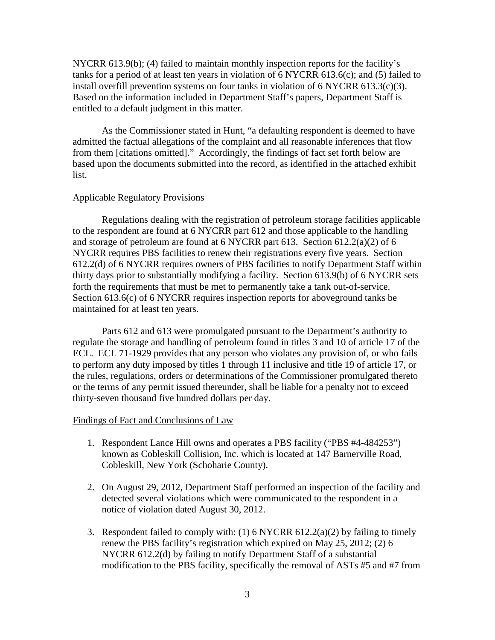NYCRR 613.9(b); (4) failed to maintain monthly inspection reports for the facility's tanks for a period of at least ten years in violation of 6 NYCRR 613.6(c); and (5) failed to install overfill prevention systems on four tanks in violation of 6 NYCRR 613.3(c)(3). Based on the information included in Department Staff's papers, Department Staff is entitled to a default judgment in this matter.

As the Commissioner stated in Hunt, "a defaulting respondent is deemed to have admitted the factual allegations of the complaint and all reasonable inferences that flow from them [citations omitted]." Accordingly, the findings of fact set forth below are based upon the documents submitted into the record, as identified in the attached exhibit list.

## Applicable Regulatory Provisions

Regulations dealing with the registration of petroleum storage facilities applicable to the respondent are found at 6 NYCRR part 612 and those applicable to the handling and storage of petroleum are found at 6 NYCRR part 613. Section 612.2(a)(2) of 6 NYCRR requires PBS facilities to renew their registrations every five years. Section 612.2(d) of 6 NYCRR requires owners of PBS facilities to notify Department Staff within thirty days prior to substantially modifying a facility. Section 613.9(b) of 6 NYCRR sets forth the requirements that must be met to permanently take a tank out-of-service. Section 613.6(c) of 6 NYCRR requires inspection reports for aboveground tanks be maintained for at least ten years.

Parts 612 and 613 were promulgated pursuant to the Department's authority to regulate the storage and handling of petroleum found in titles 3 and 10 of article 17 of the ECL. ECL 71-1929 provides that any person who violates any provision of, or who fails to perform any duty imposed by titles 1 through 11 inclusive and title 19 of article 17, or the rules, regulations, orders or determinations of the Commissioner promulgated thereto or the terms of any permit issued thereunder, shall be liable for a penalty not to exceed thirty-seven thousand five hundred dollars per day.

#### Findings of Fact and Conclusions of Law

- 1. Respondent Lance Hill owns and operates a PBS facility ("PBS #4-484253") known as Cobleskill Collision, Inc. which is located at 147 Barnerville Road, Cobleskill, New York (Schoharie County).
- 2. On August 29, 2012, Department Staff performed an inspection of the facility and detected several violations which were communicated to the respondent in a notice of violation dated August 30, 2012.
- 3. Respondent failed to comply with: (1) 6 NYCRR 612.2(a)(2) by failing to timely renew the PBS facility's registration which expired on May 25, 2012; (2) 6 NYCRR 612.2(d) by failing to notify Department Staff of a substantial modification to the PBS facility, specifically the removal of ASTs #5 and #7 from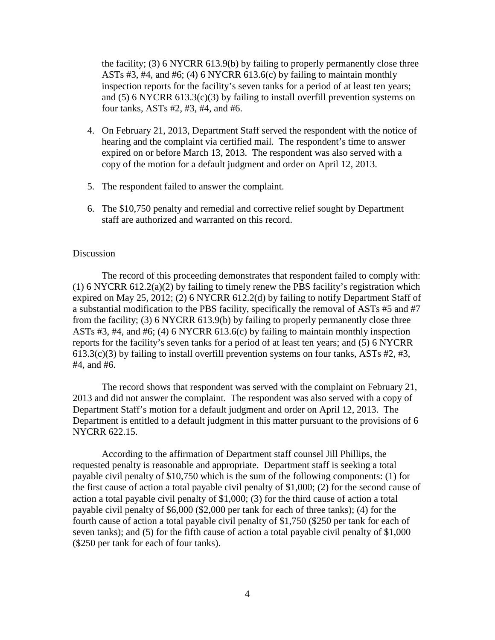the facility; (3) 6 NYCRR 613.9(b) by failing to properly permanently close three ASTs #3, #4, and #6; (4) 6 NYCRR 613.6(c) by failing to maintain monthly inspection reports for the facility's seven tanks for a period of at least ten years; and  $(5)$  6 NYCRR 613.3(c)(3) by failing to install overfill prevention systems on four tanks, ASTs #2, #3, #4, and #6.

- 4. On February 21, 2013, Department Staff served the respondent with the notice of hearing and the complaint via certified mail. The respondent's time to answer expired on or before March 13, 2013. The respondent was also served with a copy of the motion for a default judgment and order on April 12, 2013.
- 5. The respondent failed to answer the complaint.
- 6. The \$10,750 penalty and remedial and corrective relief sought by Department staff are authorized and warranted on this record.

### Discussion

The record of this proceeding demonstrates that respondent failed to comply with: (1) 6 NYCRR 612.2(a)(2) by failing to timely renew the PBS facility's registration which expired on May 25, 2012; (2) 6 NYCRR 612.2(d) by failing to notify Department Staff of a substantial modification to the PBS facility, specifically the removal of ASTs #5 and #7 from the facility; (3) 6 NYCRR 613.9(b) by failing to properly permanently close three ASTs #3, #4, and #6; (4) 6 NYCRR 613.6(c) by failing to maintain monthly inspection reports for the facility's seven tanks for a period of at least ten years; and (5) 6 NYCRR  $613.3(c)(3)$  by failing to install overfill prevention systems on four tanks, ASTs #2, #3, #4, and #6.

The record shows that respondent was served with the complaint on February 21, 2013 and did not answer the complaint. The respondent was also served with a copy of Department Staff's motion for a default judgment and order on April 12, 2013. The Department is entitled to a default judgment in this matter pursuant to the provisions of 6 NYCRR 622.15.

According to the affirmation of Department staff counsel Jill Phillips, the requested penalty is reasonable and appropriate. Department staff is seeking a total payable civil penalty of \$10,750 which is the sum of the following components: (1) for the first cause of action a total payable civil penalty of \$1,000; (2) for the second cause of action a total payable civil penalty of \$1,000; (3) for the third cause of action a total payable civil penalty of \$6,000 (\$2,000 per tank for each of three tanks); (4) for the fourth cause of action a total payable civil penalty of \$1,750 (\$250 per tank for each of seven tanks); and (5) for the fifth cause of action a total payable civil penalty of \$1,000 (\$250 per tank for each of four tanks).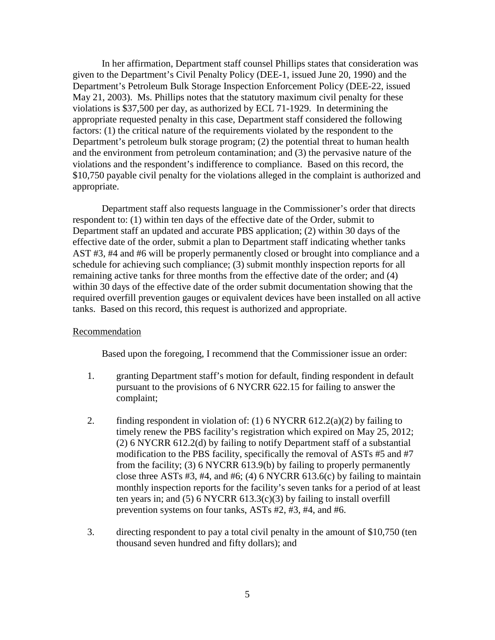In her affirmation, Department staff counsel Phillips states that consideration was given to the Department's Civil Penalty Policy (DEE-1, issued June 20, 1990) and the Department's Petroleum Bulk Storage Inspection Enforcement Policy (DEE-22, issued May 21, 2003). Ms. Phillips notes that the statutory maximum civil penalty for these violations is \$37,500 per day, as authorized by ECL 71-1929. In determining the appropriate requested penalty in this case, Department staff considered the following factors: (1) the critical nature of the requirements violated by the respondent to the Department's petroleum bulk storage program; (2) the potential threat to human health and the environment from petroleum contamination; and (3) the pervasive nature of the violations and the respondent's indifference to compliance. Based on this record, the \$10,750 payable civil penalty for the violations alleged in the complaint is authorized and appropriate.

Department staff also requests language in the Commissioner's order that directs respondent to: (1) within ten days of the effective date of the Order, submit to Department staff an updated and accurate PBS application; (2) within 30 days of the effective date of the order, submit a plan to Department staff indicating whether tanks AST #3, #4 and #6 will be properly permanently closed or brought into compliance and a schedule for achieving such compliance; (3) submit monthly inspection reports for all remaining active tanks for three months from the effective date of the order; and (4) within 30 days of the effective date of the order submit documentation showing that the required overfill prevention gauges or equivalent devices have been installed on all active tanks. Based on this record, this request is authorized and appropriate.

## Recommendation

Based upon the foregoing, I recommend that the Commissioner issue an order:

- 1. granting Department staff's motion for default, finding respondent in default pursuant to the provisions of 6 NYCRR 622.15 for failing to answer the complaint;
- 2. finding respondent in violation of: (1) 6 NYCRR 612.2(a)(2) by failing to timely renew the PBS facility's registration which expired on May 25, 2012; (2) 6 NYCRR 612.2(d) by failing to notify Department staff of a substantial modification to the PBS facility, specifically the removal of ASTs #5 and #7 from the facility; (3) 6 NYCRR 613.9(b) by failing to properly permanently close three ASTs  $#3, #4,$  and  $#6$ ; (4) 6 NYCRR 613.6(c) by failing to maintain monthly inspection reports for the facility's seven tanks for a period of at least ten years in; and (5) 6 NYCRR 613.3(c)(3) by failing to install overfill prevention systems on four tanks, ASTs #2, #3, #4, and #6.
- 3. directing respondent to pay a total civil penalty in the amount of \$10,750 (ten thousand seven hundred and fifty dollars); and